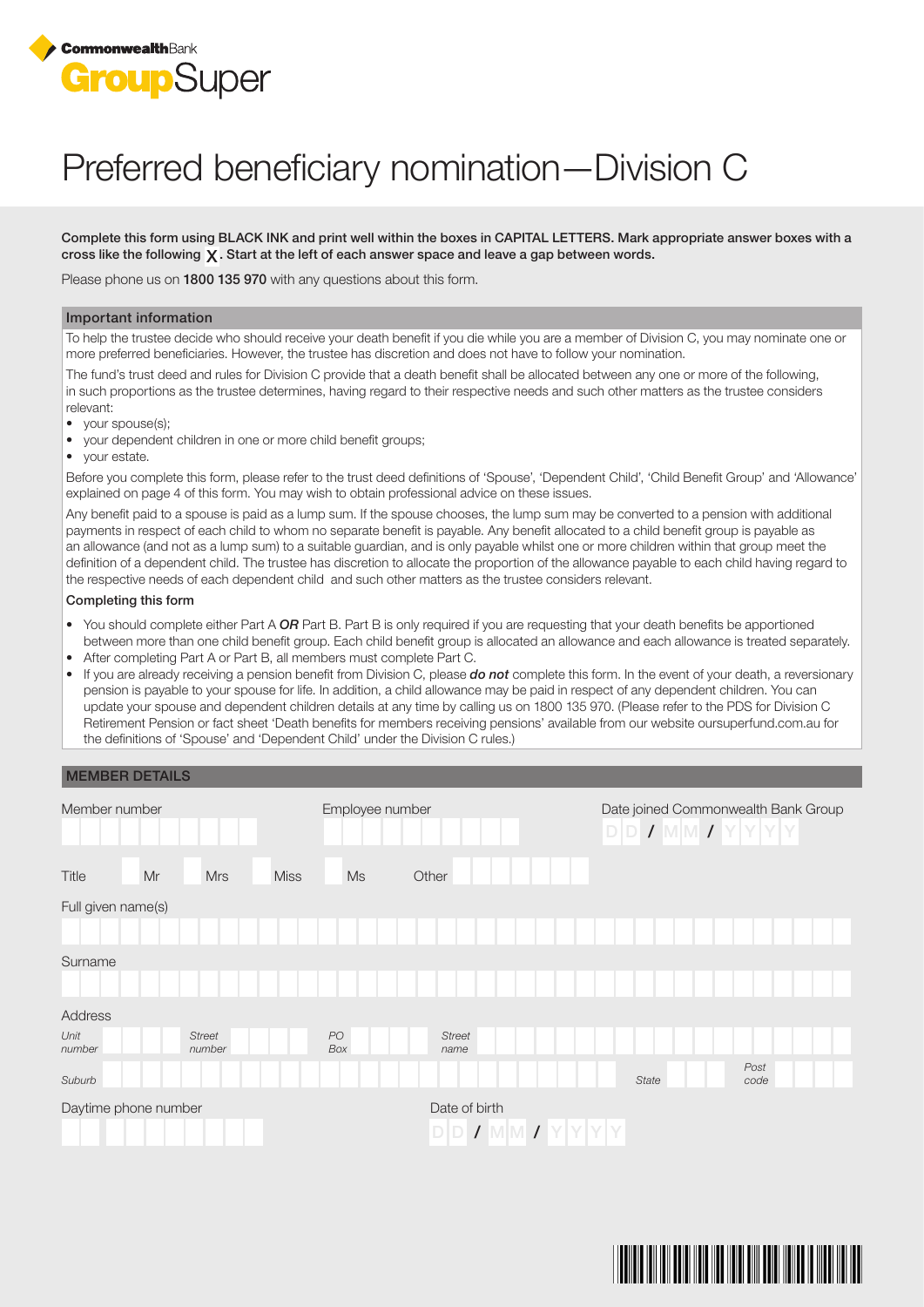

# Preferred beneficiary nomination—Division C

Complete this form using BLACK INK and print well within the boxes in CAPITAL LETTERS. Mark appropriate answer boxes with a cross like the following  $\chi$ . Start at the left of each answer space and leave a gap between words.

Please phone us on 1800 135 970 with any questions about this form.

## Important information

To help the trustee decide who should receive your death benefit if you die while you are a member of Division C, you may nominate one or more preferred beneficiaries. However, the trustee has discretion and does not have to follow your nomination.

The fund's trust deed and rules for Division C provide that a death benefit shall be allocated between any one or more of the following, in such proportions as the trustee determines, having regard to their respective needs and such other matters as the trustee considers relevant:

- vour spouse(s):
- your dependent children in one or more child benefit groups;
- your estate.

Before you complete this form, please refer to the trust deed definitions of 'Spouse', 'Dependent Child', 'Child Benefit Group' and 'Allowance' explained on page 4 of this form. You may wish to obtain professional advice on these issues.

Any benefit paid to a spouse is paid as a lump sum. If the spouse chooses, the lump sum may be converted to a pension with additional payments in respect of each child to whom no separate benefit is payable. Any benefit allocated to a child benefit group is payable as an allowance (and not as a lump sum) to a suitable guardian, and is only payable whilst one or more children within that group meet the definition of a dependent child. The trustee has discretion to allocate the proportion of the allowance payable to each child having regard to the respective needs of each dependent child and such other matters as the trustee considers relevant.

#### Completing this form

- You should complete either Part A OR Part B. Part B is only required if you are requesting that your death benefits be apportioned between more than one child benefit group. Each child benefit group is allocated an allowance and each allowance is treated separately.
- After completing Part A or Part B, all members must complete Part C.
- If you are already receiving a pension benefit from Division C, please do not complete this form. In the event of your death, a reversionary pension is payable to your spouse for life. In addition, a child allowance may be paid in respect of any dependent children. You can update your spouse and dependent children details at any time by calling us on 1800 135 970. (Please refer to the PDS for Division C Retirement Pension or fact sheet 'Death benefits for members receiving pensions' available from our website oursuperfund.com.au for the definitions of 'Spouse' and 'Dependent Child' under the Division C rules.)

# MEMBER DETAILS

| Member number        |    |                         |             | Employee number |  |                       |            |      |  | Date joined Commonwealth Bank Group<br>$D D / M M T Y Y Y Y$ |  |       |  |  |  |              |  |  |
|----------------------|----|-------------------------|-------------|-----------------|--|-----------------------|------------|------|--|--------------------------------------------------------------|--|-------|--|--|--|--------------|--|--|
| Title                | Mr | <b>Mrs</b>              | <b>Miss</b> | Ms              |  | Other                 |            |      |  |                                                              |  |       |  |  |  |              |  |  |
| Full given name(s)   |    |                         |             |                 |  |                       |            |      |  |                                                              |  |       |  |  |  |              |  |  |
|                      |    |                         |             |                 |  |                       |            |      |  |                                                              |  |       |  |  |  |              |  |  |
| Surname              |    |                         |             |                 |  |                       |            |      |  |                                                              |  |       |  |  |  |              |  |  |
| Address              |    |                         |             |                 |  |                       |            |      |  |                                                              |  |       |  |  |  |              |  |  |
| Unit<br>number       |    | <b>Street</b><br>number |             | PO<br>Box       |  | <b>Street</b><br>name |            |      |  |                                                              |  |       |  |  |  |              |  |  |
| Suburb               |    |                         |             |                 |  |                       |            |      |  |                                                              |  | State |  |  |  | Post<br>code |  |  |
| Daytime phone number |    |                         |             |                 |  | Date of birth<br>D/D  | $\sqrt{2}$ | MMIZ |  |                                                              |  |       |  |  |  |              |  |  |

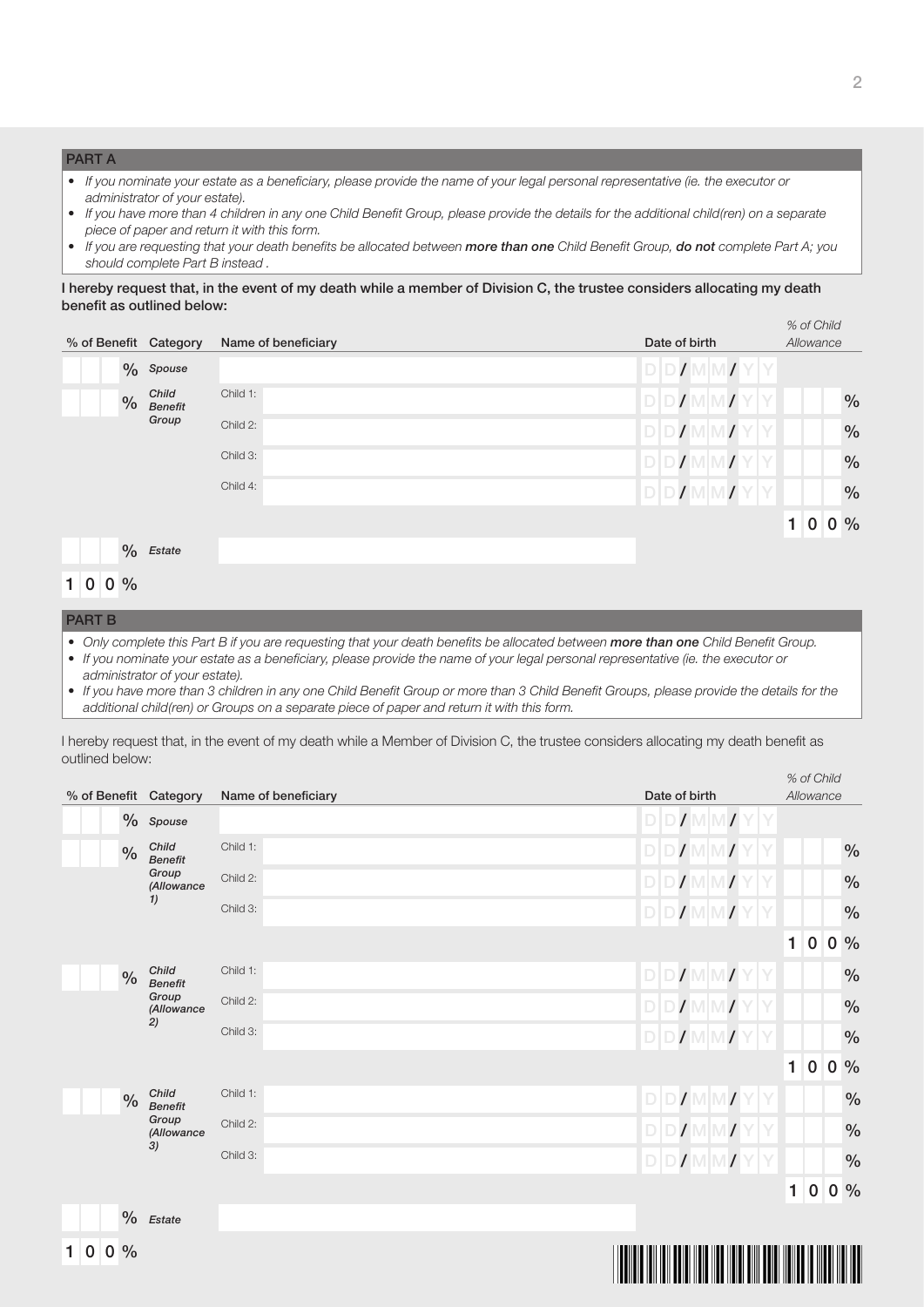# PART A

- If you nominate your estate as a beneficiary, please provide the name of your legal personal representative (ie. the executor or administrator of your estate).
- If you have more than 4 children in any one Child Benefit Group, please provide the details for the additional child(ren) on a separate piece of paper and return it with this form.
- If you are requesting that your death benefits be allocated between more than one Child Benefit Group, do not complete Part A; you should complete Part B instead .

# I hereby request that, in the event of my death while a member of Division C, the trustee considers allocating my death benefit as outlined below:

| % of Benefit Category         |               |                         | Name of beneficiary | Date of birth | % of Child<br>Allowance |  |               |  |  |
|-------------------------------|---------------|-------------------------|---------------------|---------------|-------------------------|--|---------------|--|--|
|                               |               | $\%$ Spouse             |                     | D/D           |                         |  |               |  |  |
|                               | $\frac{0}{0}$ | Child<br><b>Benefit</b> | Child 1:            | DDI           |                         |  | $\frac{0}{0}$ |  |  |
|                               |               | Group                   | Child 2:            | D D           |                         |  | $\frac{0}{0}$ |  |  |
|                               |               |                         | Child 3:            |               |                         |  | $\frac{0}{0}$ |  |  |
|                               |               |                         | Child 4:            | DDI           |                         |  | $\frac{0}{0}$ |  |  |
|                               |               |                         |                     |               |                         |  | 1 0 0%        |  |  |
|                               | $\%$          | Estate                  |                     |               |                         |  |               |  |  |
| 1 <sup>1</sup><br>$\mathbf 0$ | $0\%$         |                         |                     |               |                         |  |               |  |  |

## PART B

- Only complete this Part B if you are requesting that your death benefits be allocated between more than one Child Benefit Group.
- If you nominate your estate as a beneficiary, please provide the name of your legal personal representative (ie. the executor or administrator of your estate).
- If you have more than 3 children in any one Child Benefit Group or more than 3 Child Benefit Groups, please provide the details for the additional child(ren) or Groups on a separate piece of paper and return it with this form.

I hereby request that, in the event of my death while a Member of Division C, the trustee considers allocating my death benefit as outlined below:

| % of Benefit Category |                           | Name of beneficiary | Date of birth           |              |           | $\frac{1}{20}$ U U IIIU<br>Allowance |               |
|-----------------------|---------------------------|---------------------|-------------------------|--------------|-----------|--------------------------------------|---------------|
|                       | $%$ Spouse                |                     | $D$ $D$ / $M$ $N$ / $Y$ |              |           |                                      |               |
| $\%$                  | Child<br><b>Benefit</b>   | Child 1:            | $\sqrt{N}$              |              |           |                                      | $\%$          |
|                       | Group<br>(Allowance<br>1) | Child 2:            |                         |              |           |                                      | $\%$          |
|                       |                           | Child 3:            |                         |              |           |                                      | $\%$          |
|                       |                           |                     |                         | $\mathbf{1}$ | $\pmb{0}$ |                                      | $0\%$         |
| $\%$                  | Child<br><b>Benefit</b>   | Child 1:            | $D$ $D$ / $M$ $M$       |              |           |                                      | $\frac{0}{0}$ |
|                       | Group<br>(Allowance       | Child 2:            | $D$ $D$ $M$ $M$         |              |           |                                      | $\%$          |
|                       | 2)                        | Child 3:            | $\sqrt{NM}$<br>D/D      |              |           |                                      | $\%$          |
|                       |                           |                     |                         | $\mathbf{1}$ | $\pmb{0}$ |                                      | $0\%$         |
| $\%$                  | Child<br><b>Benefit</b>   | Child 1:            | <b>DID</b>              |              |           |                                      | $\%$          |
|                       | Group<br>(Allowance<br>3) | Child 2:            | $D$ $D$ $N$ $M$         |              |           |                                      | $\frac{0}{0}$ |
|                       |                           | Child 3:            | $D$ <sub>D</sub>        |              |           |                                      | $\frac{0}{0}$ |
|                       |                           |                     |                         | 1            | $\pmb{0}$ |                                      | $0\%$         |
|                       | $\%$ Estate               |                     |                         |              |           |                                      |               |
| 1 0 <br>$0\%$         |                           |                     |                         |              |           |                                      |               |
|                       |                           |                     | Ш<br><b>TILLET</b><br>Ш | ┉            |           |                                      |               |

% of Child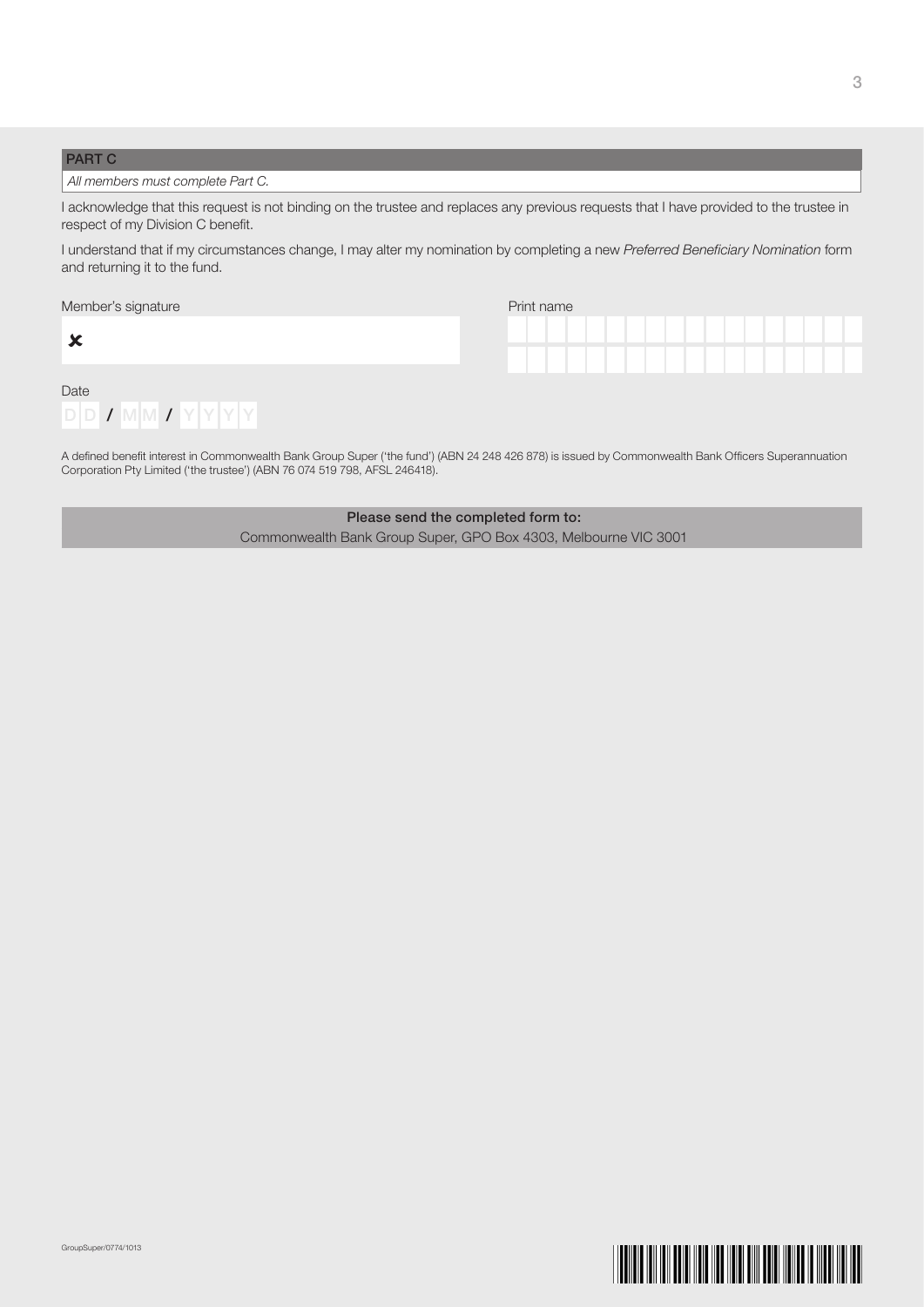# PART C

 $\sim$ 

# All members must complete Part C.

I acknowledge that this request is not binding on the trustee and replaces any previous requests that I have provided to the trustee in respect of my Division C benefit.

I understand that if my circumstances change, I may alter my nomination by completing a new Preferred Beneficiary Nomination form and returning it to the fund.

| Member's signature | Print name |
|--------------------|------------|
|                    |            |

| w    |  |  |                                |          |  |  |
|------|--|--|--------------------------------|----------|--|--|
| Date |  |  |                                |          |  |  |
| DID. |  |  | $\frac{1}{2}$ MM $\frac{1}{2}$ | 'Y Y Y v |  |  |

| Print name |  |  |  |  |  |  |  |
|------------|--|--|--|--|--|--|--|
|            |  |  |  |  |  |  |  |
|            |  |  |  |  |  |  |  |
|            |  |  |  |  |  |  |  |
|            |  |  |  |  |  |  |  |

A defined benefit interest in Commonwealth Bank Group Super ('the fund') (ABN 24 248 426 878) is issued by Commonwealth Bank Officers Superannuation Corporation Pty Limited ('the trustee') (ABN 76 074 519 798, AFSL 246418).

> Please send the completed form to: Commonwealth Bank Group Super, GPO Box 4303, Melbourne VIC 3001